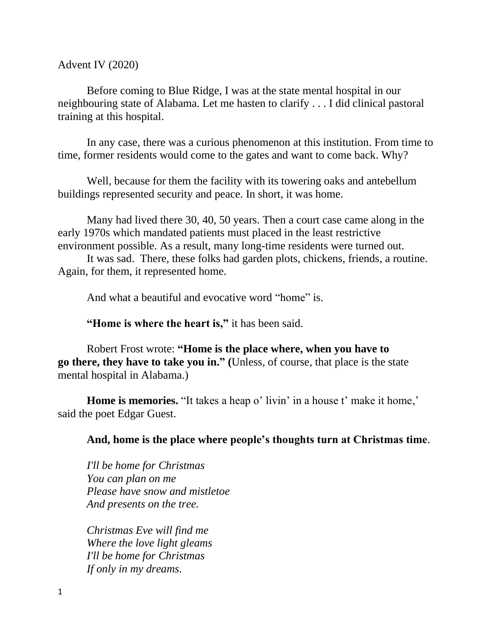Advent IV (2020)

Before coming to Blue Ridge, I was at the state mental hospital in our neighbouring state of Alabama. Let me hasten to clarify . . . I did clinical pastoral training at this hospital.

In any case, there was a curious phenomenon at this institution. From time to time, former residents would come to the gates and want to come back. Why?

Well, because for them the facility with its towering oaks and antebellum buildings represented security and peace. In short, it was home.

Many had lived there 30, 40, 50 years. Then a court case came along in the early 1970s which mandated patients must placed in the least restrictive environment possible. As a result, many long-time residents were turned out.

It was sad. There, these folks had garden plots, chickens, friends, a routine. Again, for them, it represented home.

And what a beautiful and evocative word "home" is.

**"Home is where the heart is,"** it has been said.

Robert Frost wrote: **"Home is the place where, when you have to go there, they have to take you in." (**Unless, of course, that place is the state mental hospital in Alabama.)

**Home is memories.** "It takes a heap o' livin' in a house t' make it home," said the poet Edgar Guest.

**And, home is the place where people's thoughts turn at Christmas time**.

*I'll be home for Christmas You can plan on me Please have snow and mistletoe And presents on the tree.*

*Christmas Eve will find me Where the love light gleams I'll be home for Christmas If only in my dreams.*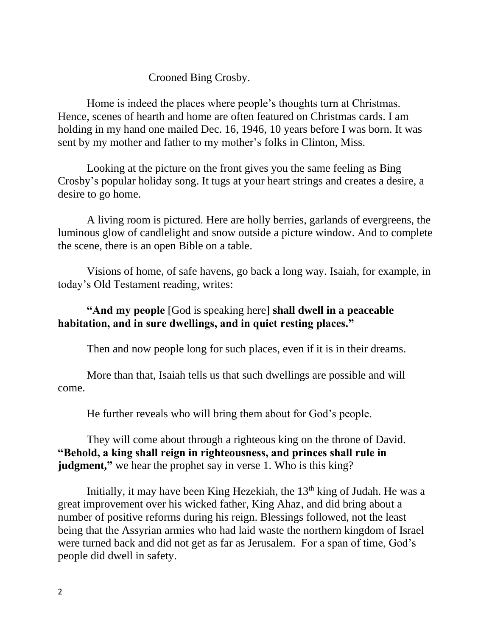## Crooned Bing Crosby.

Home is indeed the places where people's thoughts turn at Christmas. Hence, scenes of hearth and home are often featured on Christmas cards. I am holding in my hand one mailed Dec. 16, 1946, 10 years before I was born. It was sent by my mother and father to my mother's folks in Clinton, Miss.

Looking at the picture on the front gives you the same feeling as Bing Crosby's popular holiday song. It tugs at your heart strings and creates a desire, a desire to go home.

A living room is pictured. Here are holly berries, garlands of evergreens, the luminous glow of candlelight and snow outside a picture window. And to complete the scene, there is an open Bible on a table.

Visions of home, of safe havens, go back a long way. Isaiah, for example, in today's Old Testament reading, writes:

## **"And my people** [God is speaking here] **shall dwell in a peaceable habitation, and in sure dwellings, and in quiet resting places."**

Then and now people long for such places, even if it is in their dreams.

More than that, Isaiah tells us that such dwellings are possible and will come.

He further reveals who will bring them about for God's people.

They will come about through a righteous king on the throne of David. **"Behold, a king shall reign in righteousness, and princes shall rule in judgment,**" we hear the prophet say in verse 1. Who is this king?

Initially, it may have been King Hezekiah, the  $13<sup>th</sup>$  king of Judah. He was a great improvement over his wicked father, King Ahaz, and did bring about a number of positive reforms during his reign. Blessings followed, not the least being that the Assyrian armies who had laid waste the northern kingdom of Israel were turned back and did not get as far as Jerusalem. For a span of time, God's people did dwell in safety.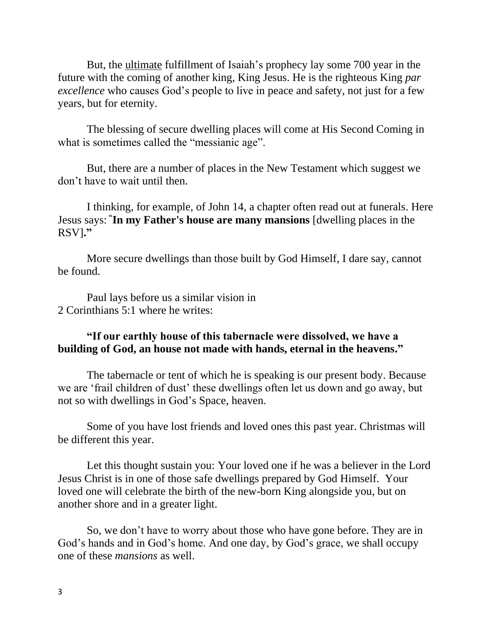But, the ultimate fulfillment of Isaiah's prophecy lay some 700 year in the future with the coming of another king, King Jesus. He is the righteous King *par excellence* who causes God's people to live in peace and safety, not just for a few years, but for eternity.

The blessing of secure dwelling places will come at His Second Coming in what is sometimes called the "messianic age".

But, there are a number of places in the New Testament which suggest we don't have to wait until then.

I thinking, for example, of John 14, a chapter often read out at funerals. Here Jesus says: **" In my Father's house are many mansions** [dwelling places in the RSV]**."**

More secure dwellings than those built by God Himself, I dare say, cannot be found.

Paul lays before us a similar vision in 2 Corinthians 5:1 where he writes:

## **"If our earthly house of this tabernacle were dissolved, we have a building of God, an house not made with hands, eternal in the heavens."**

The tabernacle or tent of which he is speaking is our present body. Because we are 'frail children of dust' these dwellings often let us down and go away, but not so with dwellings in God's Space, heaven.

Some of you have lost friends and loved ones this past year. Christmas will be different this year.

Let this thought sustain you: Your loved one if he was a believer in the Lord Jesus Christ is in one of those safe dwellings prepared by God Himself. Your loved one will celebrate the birth of the new-born King alongside you, but on another shore and in a greater light.

So, we don't have to worry about those who have gone before. They are in God's hands and in God's home. And one day, by God's grace, we shall occupy one of these *mansions* as well.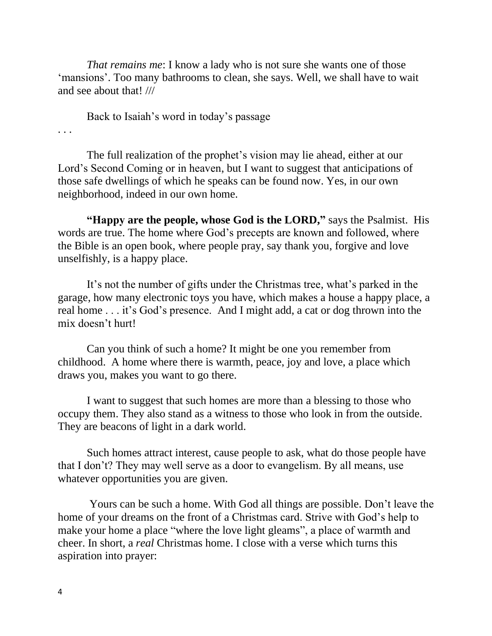*That remains me*: I know a lady who is not sure she wants one of those 'mansions'. Too many bathrooms to clean, she says. Well, we shall have to wait and see about that! ///

Back to Isaiah's word in today's passage

. . .

The full realization of the prophet's vision may lie ahead, either at our Lord's Second Coming or in heaven, but I want to suggest that anticipations of those safe dwellings of which he speaks can be found now. Yes, in our own neighborhood, indeed in our own home.

**"Happy are the people, whose God is the LORD, "** says the Psalmist. His words are true. The home where God's precepts are known and followed, where the Bible is an open book, where people pray, say thank you, forgive and love unselfishly, is a happy place.

It's not the number of gifts under the Christmas tree, what's parked in the garage, how many electronic toys you have, which makes a house a happy place, a real home . . . it's God's presence. And I might add, a cat or dog thrown into the mix doesn't hurt!

Can you think of such a home? It might be one you remember from childhood. A home where there is warmth, peace, joy and love, a place which draws you, makes you want to go there.

I want to suggest that such homes are more than a blessing to those who occupy them. They also stand as a witness to those who look in from the outside. They are beacons of light in a dark world.

Such homes attract interest, cause people to ask, what do those people have that I don't? They may well serve as a door to evangelism. By all means, use whatever opportunities you are given.

Yours can be such a home. With God all things are possible. Don't leave the home of your dreams on the front of a Christmas card. Strive with God's help to make your home a place "where the love light gleams", a place of warmth and cheer. In short, a *real* Christmas home. I close with a verse which turns this aspiration into prayer: